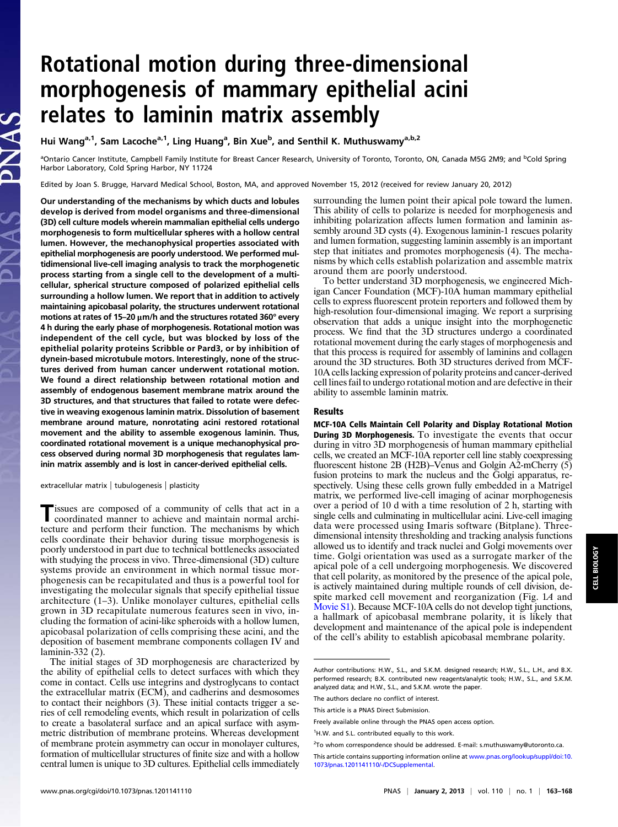## Rotational motion during three-dimensional morphogenesis of mammary epithelial acini relates to laminin matrix assembly

Hui Wang<sup>a,1</sup>, Sam Lacoche<sup>a,1</sup>, Ling Huang<sup>a</sup>, Bin Xue<sup>b</sup>, and Senthil K. Muthuswamy<sup>a,b,2</sup>

<sup>a</sup>Ontario Cancer Institute, Campbell Family Institute for Breast Cancer Research, University of Toronto, Toronto, ON, Canada M5G 2M9; and <sup>b</sup>Cold Spring Harbor Laboratory, Cold Spring Harbor, NY 11724

Edited by Joan S. Brugge, Harvard Medical School, Boston, MA, and approved November 15, 2012 (received for review January 20, 2012)

Our understanding of the mechanisms by which ducts and lobules develop is derived from model organisms and three-dimensional (3D) cell culture models wherein mammalian epithelial cells undergo morphogenesis to form multicellular spheres with a hollow central lumen. However, the mechanophysical properties associated with epithelial morphogenesis are poorly understood. We performed multidimensional live-cell imaging analysis to track the morphogenetic process starting from a single cell to the development of a multicellular, spherical structure composed of polarized epithelial cells surrounding a hollow lumen. We report that in addition to actively maintaining apicobasal polarity, the structures underwent rotational motions at rates of 15–20 μm/h and the structures rotated 360° every 4 h during the early phase of morphogenesis. Rotational motion was independent of the cell cycle, but was blocked by loss of the epithelial polarity proteins Scribble or Pard3, or by inhibition of dynein-based microtubule motors. Interestingly, none of the structures derived from human cancer underwent rotational motion. We found a direct relationship between rotational motion and assembly of endogenous basement membrane matrix around the 3D structures, and that structures that failed to rotate were defective in weaving exogenous laminin matrix. Dissolution of basement membrane around mature, nonrotating acini restored rotational movement and the ability to assemble exogenous laminin. Thus, coordinated rotational movement is a unique mechanophysical process observed during normal 3D morphogenesis that regulates laminin matrix assembly and is lost in cancer-derived epithelial cells.

extracellular matrix | tubulogenesis | plasticity

Tissues are composed of a community of cells that act in a coordinated manner to achieve and maintain normal architecture and perform their function. The mechanisms by which cells coordinate their behavior during tissue morphogenesis is poorly understood in part due to technical bottlenecks associated with studying the process in vivo. Three-dimensional (3D) culture systems provide an environment in which normal tissue morphogenesis can be recapitulated and thus is a powerful tool for investigating the molecular signals that specify epithelial tissue architecture (1–3). Unlike monolayer cultures, epithelial cells grown in 3D recapitulate numerous features seen in vivo, including the formation of acini-like spheroids with a hollow lumen, apicobasal polarization of cells comprising these acini, and the deposition of basement membrane components collagen IV and laminin-332 (2).

The initial stages of 3D morphogenesis are characterized by the ability of epithelial cells to detect surfaces with which they come in contact. Cells use integrins and dystroglycans to contact the extracellular matrix (ECM), and cadherins and desmosomes to contact their neighbors (3). These initial contacts trigger a series of cell remodeling events, which result in polarization of cells to create a basolateral surface and an apical surface with asymmetric distribution of membrane proteins. Whereas development of membrane protein asymmetry can occur in monolayer cultures, formation of multicellular structures of finite size and with a hollow central lumen is unique to 3D cultures. Epithelial cells immediately surrounding the lumen point their apical pole toward the lumen. This ability of cells to polarize is needed for morphogenesis and inhibiting polarization affects lumen formation and laminin assembly around 3D cysts (4). Exogenous laminin-1 rescues polarity and lumen formation, suggesting laminin assembly is an important step that initiates and promotes morphogenesis (4). The mechanisms by which cells establish polarization and assemble matrix around them are poorly understood.

To better understand 3D morphogenesis, we engineered Michigan Cancer Foundation (MCF)-10A human mammary epithelial cells to express fluorescent protein reporters and followed them by high-resolution four-dimensional imaging. We report a surprising observation that adds a unique insight into the morphogenetic process. We find that the 3D structures undergo a coordinated rotational movement during the early stages of morphogenesis and that this process is required for assembly of laminins and collagen around the 3D structures. Both 3D structures derived from MCF-10A cells lacking expression of polarity proteins and cancer-derived cell lines fail to undergo rotational motion and are defective in their ability to assemble laminin matrix.

## Results

MCF-10A Cells Maintain Cell Polarity and Display Rotational Motion During 3D Morphogenesis. To investigate the events that occur during in vitro 3D morphogenesis of human mammary epithelial cells, we created an MCF-10A reporter cell line stably coexpressing fluorescent histone 2B (H2B)–Venus and Golgin A2-mCherry (5) fusion proteins to mark the nucleus and the Golgi apparatus, respectively. Using these cells grown fully embedded in a Matrigel matrix, we performed live-cell imaging of acinar morphogenesis over a period of 10 d with a time resolution of 2 h, starting with single cells and culminating in multicellular acini. Live-cell imaging data were processed using Imaris software (Bitplane). Threedimensional intensity thresholding and tracking analysis functions allowed us to identify and track nuclei and Golgi movements over time. Golgi orientation was used as a surrogate marker of the apical pole of a cell undergoing morphogenesis. We discovered that cell polarity, as monitored by the presence of the apical pole, is actively maintained during multiple rounds of cell division, despite marked cell movement and reorganization (Fig. 1A and [Movie S1\)](http://www.pnas.org/lookup/suppl/doi:10.1073/pnas.1201141110/-/DCSupplemental/sm01.avi). Because MCF-10A cells do not develop tight junctions, a hallmark of apicobasal membrane polarity, it is likely that development and maintenance of the apical pole is independent of the cell's ability to establish apicobasal membrane polarity.

Author contributions: H.W., S.L., and S.K.M. designed research; H.W., S.L., L.H., and B.X. performed research; B.X. contributed new reagents/analytic tools; H.W., S.L., and S.K.M. analyzed data; and H.W., S.L., and S.K.M. wrote the paper.

The authors declare no conflict of interest.

This article is a PNAS Direct Submission.

Freely available online through the PNAS open access option.

<sup>&</sup>lt;sup>1</sup>H.W. and S.L. contributed equally to this work.

<sup>&</sup>lt;sup>2</sup>To whom correspondence should be addressed. E-mail: [s.muthuswamy@utoronto.ca](mailto:s.muthuswamy@utoronto.ca).

This article contains supporting information online at [www.pnas.org/lookup/suppl/doi:10.](http://www.pnas.org/lookup/suppl/doi:10.1073/pnas.1201141110/-/DCSupplemental) [1073/pnas.1201141110/-/DCSupplemental](http://www.pnas.org/lookup/suppl/doi:10.1073/pnas.1201141110/-/DCSupplemental).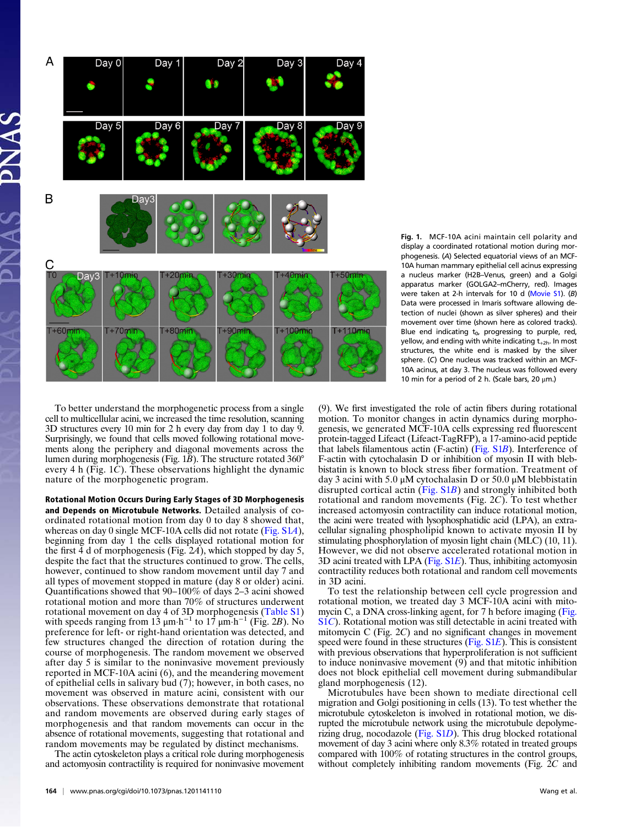

Fig. 1. MCF-10A acini maintain cell polarity and display a coordinated rotational motion during morphogenesis. (A) Selected equatorial views of an MCF-10A human mammary epithelial cell acinus expressing a nucleus marker (H2B–Venus, green) and a Golgi apparatus marker (GOLGA2–mCherry, red). Images were taken at 2-h intervals for 10 d ([Movie S1](http://www.pnas.org/lookup/suppl/doi:10.1073/pnas.1201141110/-/DCSupplemental/sm01.avi)). (B) Data were processed in Imaris software allowing detection of nuclei (shown as silver spheres) and their movement over time (shown here as colored tracks). Blue end indicating  $t_0$ , progressing to purple, red, yellow, and ending with white indicating  $t_{+2h}$ . In most structures, the white end is masked by the silver sphere. (C) One nucleus was tracked within an MCF-10A acinus, at day 3. The nucleus was followed every 10 min for a period of 2 h. (Scale bars, 20 μm.)

To better understand the morphogenetic process from a single cell to multicellular acini, we increased the time resolution, scanning 3D structures every 10 min for 2 h every day from day 1 to day 9. Surprisingly, we found that cells moved following rotational movements along the periphery and diagonal movements across the lumen during morphogenesis (Fig. 1B). The structure rotated 360° every 4 h (Fig. 1C). These observations highlight the dynamic nature of the morphogenetic program.

Rotational Motion Occurs During Early Stages of 3D Morphogenesis and Depends on Microtubule Networks. Detailed analysis of coordinated rotational motion from day 0 to day 8 showed that, whereas on day 0 single MCF-10A cells did not rotate [\(Fig. S1](http://www.pnas.org/lookup/suppl/doi:10.1073/pnas.1201141110/-/DCSupplemental/pnas.201201141SI.pdf?targetid=nameddest=SF1)A), beginning from day 1 the cells displayed rotational motion for the first  $\overline{4}$  d of morphogenesis (Fig. 2A), which stopped by day 5, despite the fact that the structures continued to grow. The cells, however, continued to show random movement until day 7 and all types of movement stopped in mature (day 8 or older) acini. Quantifications showed that 90–100% of days 2–3 acini showed rotational motion and more than 70% of structures underwent rotational movement on day 4 of 3D morphogenesis [\(Table S1\)](http://www.pnas.org/lookup/suppl/doi:10.1073/pnas.1201141110/-/DCSupplemental/pnas.201201141SI.pdf?targetid=nameddest=ST1) with speeds ranging from 13  $\mu$ m·h<sup>-1</sup> to 17  $\mu$ m·h<sup>-1</sup> (Fig. 2B). No preference for left- or right-hand orientation was detected, and few structures changed the direction of rotation during the course of morphogenesis. The random movement we observed after day 5 is similar to the noninvasive movement previously reported in MCF-10A acini (6), and the meandering movement of epithelial cells in salivary bud (7); however, in both cases, no movement was observed in mature acini, consistent with our observations. These observations demonstrate that rotational and random movements are observed during early stages of morphogenesis and that random movements can occur in the absence of rotational movements, suggesting that rotational and random movements may be regulated by distinct mechanisms.

The actin cytoskeleton plays a critical role during morphogenesis and actomyosin contractility is required for noninvasive movement (9). We first investigated the role of actin fibers during rotational motion. To monitor changes in actin dynamics during morphogenesis, we generated MCF-10A cells expressing red fluorescent protein-tagged Lifeact (Lifeact-TagRFP), a 17-amino-acid peptide that labels filamentous actin (F-actin) ([Fig. S1](http://www.pnas.org/lookup/suppl/doi:10.1073/pnas.1201141110/-/DCSupplemental/pnas.201201141SI.pdf?targetid=nameddest=SF1)B). Interference of F-actin with cytochalasin D or inhibition of myosin II with blebbistatin is known to block stress fiber formation. Treatment of day 3 acini with 5.0 μM cytochalasin D or 50.0 μM blebbistatin disrupted cortical actin (Fig.  $S1B$ ) and strongly inhibited both rotational and random movements (Fig. 2C). To test whether increased actomyosin contractility can induce rotational motion, the acini were treated with lysophosphatidic acid (LPA), an extracellular signaling phospholipid known to activate myosin II by stimulating phosphorylation of myosin light chain (MLC) (10, 11). However, we did not observe accelerated rotational motion in 3D acini treated with LPA (Fig.  $SLE$ ). Thus, inhibiting actomyosin contractility reduces both rotational and random cell movements in 3D acini.

To test the relationship between cell cycle progression and rotational motion, we treated day 3 MCF-10A acini with mitomycin C, a DNA cross-linking agent, for 7 h before imaging ([Fig.](http://www.pnas.org/lookup/suppl/doi:10.1073/pnas.1201141110/-/DCSupplemental/pnas.201201141SI.pdf?targetid=nameddest=SF1) [S1](http://www.pnas.org/lookup/suppl/doi:10.1073/pnas.1201141110/-/DCSupplemental/pnas.201201141SI.pdf?targetid=nameddest=SF1)C). Rotational motion was still detectable in acini treated with mitomycin C (Fig. 2C) and no significant changes in movement speed were found in these structures [\(Fig. S1](http://www.pnas.org/lookup/suppl/doi:10.1073/pnas.1201141110/-/DCSupplemental/pnas.201201141SI.pdf?targetid=nameddest=SF1)E). This is consistent with previous observations that hyperproliferation is not sufficient to induce noninvasive movement  $(9)$  and that mitotic inhibition does not block epithelial cell movement during submandibular gland morphogenesis (12).

Microtubules have been shown to mediate directional cell migration and Golgi positioning in cells (13). To test whether the microtubule cytoskeleton is involved in rotational motion, we disrupted the microtubule network using the microtubule depolymerizing drug, nocodazole [\(Fig. S1](http://www.pnas.org/lookup/suppl/doi:10.1073/pnas.1201141110/-/DCSupplemental/pnas.201201141SI.pdf?targetid=nameddest=SF1)D). This drug blocked rotational movement of day 3 acini where only 8.3% rotated in treated groups compared with 100% of rotating structures in the control groups, without completely inhibiting random movements (Fig. 2C and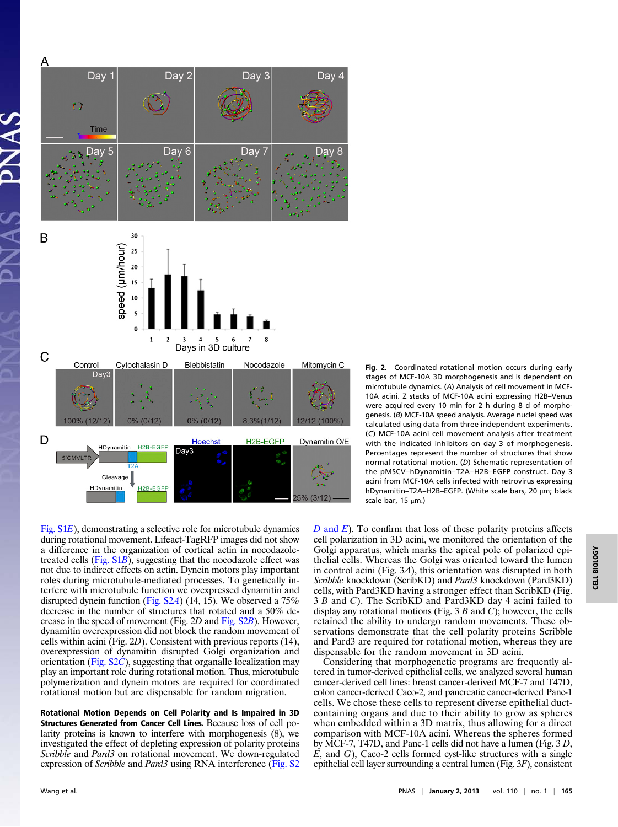

Fig. 2. Coordinated rotational motion occurs during early stages of MCF-10A 3D morphogenesis and is dependent on microtubule dynamics. (A) Analysis of cell movement in MCF-10A acini. Z stacks of MCF-10A acini expressing H2B–Venus were acquired every 10 min for 2 h during 8 d of morphogenesis. (B) MCF-10A speed analysis. Average nuclei speed was calculated using data from three independent experiments. (C) MCF-10A acini cell movement analysis after treatment with the indicated inhibitors on day 3 of morphogenesis. Percentages represent the number of structures that show normal rotational motion. (D) Schematic representation of the pMSCV–hDynamitin–T2A–H2B–EGFP construct. Day 3 acini from MCF-10A cells infected with retrovirus expressing hDynamitin–T2A–H2B–EGFP. (White scale bars, 20 μm; black scale bar, 15 μm.)

[Fig. S1](http://www.pnas.org/lookup/suppl/doi:10.1073/pnas.1201141110/-/DCSupplemental/pnas.201201141SI.pdf?targetid=nameddest=SF1)E), demonstrating a selective role for microtubule dynamics during rotational movement. Lifeact-TagRFP images did not show a difference in the organization of cortical actin in nocodazoletreated cells [\(Fig. S1](http://www.pnas.org/lookup/suppl/doi:10.1073/pnas.1201141110/-/DCSupplemental/pnas.201201141SI.pdf?targetid=nameddest=SF1)B), suggesting that the nocodazole effect was not due to indirect effects on actin. Dynein motors play important roles during microtubule-mediated processes. To genetically interfere with microtubule function we ovexpressed dynamitin and disrupted dynein function ([Fig. S2](http://www.pnas.org/lookup/suppl/doi:10.1073/pnas.1201141110/-/DCSupplemental/pnas.201201141SI.pdf?targetid=nameddest=SF2)A) (14, 15). We observed a 75% decrease in the number of structures that rotated and a 50% decrease in the speed of movement (Fig. 2D and [Fig. S2](http://www.pnas.org/lookup/suppl/doi:10.1073/pnas.1201141110/-/DCSupplemental/pnas.201201141SI.pdf?targetid=nameddest=SF2)B). However, dynamitin overexpression did not block the random movement of cells within acini (Fig. 2D). Consistent with previous reports (14), overexpression of dynamitin disrupted Golgi organization and orientation [\(Fig. S2](http://www.pnas.org/lookup/suppl/doi:10.1073/pnas.1201141110/-/DCSupplemental/pnas.201201141SI.pdf?targetid=nameddest=SF2)C), suggesting that organalle localization may play an important role during rotational motion. Thus, microtubule polymerization and dynein motors are required for coordinated rotational motion but are dispensable for random migration.

Rotational Motion Depends on Cell Polarity and Is Impaired in 3D Structures Generated from Cancer Cell Lines. Because loss of cell polarity proteins is known to interfere with morphogenesis (8), we investigated the effect of depleting expression of polarity proteins Scribble and Pard3 on rotational movement. We down-regulated expression of *Scribble* and *Pard3* using RNA interference [\(Fig. S2](http://www.pnas.org/lookup/suppl/doi:10.1073/pnas.1201141110/-/DCSupplemental/pnas.201201141SI.pdf?targetid=nameddest=SF2))  $D$  [and](http://www.pnas.org/lookup/suppl/doi:10.1073/pnas.1201141110/-/DCSupplemental/pnas.201201141SI.pdf?targetid=nameddest=SF2)  $E$ ). To confirm that loss of these polarity proteins affects cell polarization in 3D acini, we monitored the orientation of the Golgi apparatus, which marks the apical pole of polarized epithelial cells. Whereas the Golgi was oriented toward the lumen in control acini (Fig. 3A), this orientation was disrupted in both Scribble knockdown (ScribKD) and *Pard3* knockdown (Pard3KD) cells, with Pard3KD having a stronger effect than ScribKD (Fig. 3 B and C). The ScribKD and Pard3KD day 4 acini failed to display any rotational motions (Fig. 3  $B$  and  $C$ ); however, the cells retained the ability to undergo random movements. These observations demonstrate that the cell polarity proteins Scribble and Pard3 are required for rotational motion, whereas they are dispensable for the random movement in 3D acini.

Considering that morphogenetic programs are frequently altered in tumor-derived epithelial cells, we analyzed several human cancer-derived cell lines: breast cancer-derived MCF-7 and T47D, colon cancer-derived Caco-2, and pancreatic cancer-derived Panc-1 cells. We chose these cells to represent diverse epithelial ductcontaining organs and due to their ability to grow as spheres when embedded within a 3D matrix, thus allowing for a direct comparison with MCF-10A acini. Whereas the spheres formed by MCF-7, T47D, and Panc-1 cells did not have a lumen (Fig. 3 D,  $E$ , and  $G$ ), Caco-2 cells formed cyst-like structures with a single epithelial cell layer surrounding a central lumen (Fig. 3F), consistent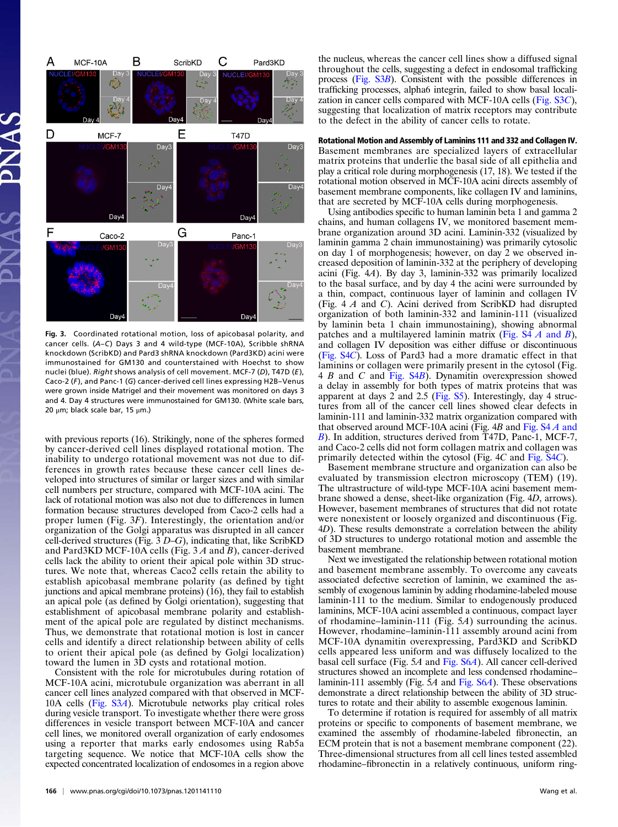

Fig. 3. Coordinated rotational motion, loss of apicobasal polarity, and cancer cells. (A–C) Days 3 and 4 wild-type (MCF-10A), Scribble shRNA knockdown (ScribKD) and Pard3 shRNA knockdown (Pard3KD) acini were immunostained for GM130 and counterstained with Hoechst to show nuclei (blue). Right shows analysis of cell movement. MCF-7 (D), T47D (E), Caco-2  $(F)$ , and Panc-1  $(G)$  cancer-derived cell lines expressing H2B–Venus were grown inside Matrigel and their movement was monitored on days 3 and 4. Day 4 structures were immunostained for GM130. (White scale bars, 20 μm; black scale bar, 15 μm.)

with previous reports (16). Strikingly, none of the spheres formed by cancer-derived cell lines displayed rotational motion. The inability to undergo rotational movement was not due to differences in growth rates because these cancer cell lines developed into structures of similar or larger sizes and with similar cell numbers per structure, compared with MCF-10A acini. The lack of rotational motion was also not due to differences in lumen formation because structures developed from Caco-2 cells had a proper lumen (Fig. 3F). Interestingly, the orientation and/or organization of the Golgi apparatus was disrupted in all cancer cell-derived structures (Fig.  $3D-G$ ), indicating that, like ScribKD and Pard3KD MCF-10A cells (Fig.  $3A$  and  $B$ ), cancer-derived cells lack the ability to orient their apical pole within 3D structures. We note that, whereas Caco2 cells retain the ability to establish apicobasal membrane polarity (as defined by tight junctions and apical membrane proteins) (16), they fail to establish an apical pole (as defined by Golgi orientation), suggesting that establishment of apicobasal membrane polarity and establishment of the apical pole are regulated by distinct mechanisms. Thus, we demonstrate that rotational motion is lost in cancer cells and identify a direct relationship between ability of cells to orient their apical pole (as defined by Golgi localization) toward the lumen in 3D cysts and rotational motion.

Consistent with the role for microtubules during rotation of MCF-10A acini, microtubule organization was aberrant in all cancer cell lines analyzed compared with that observed in MCF-10A cells [\(Fig. S3](http://www.pnas.org/lookup/suppl/doi:10.1073/pnas.1201141110/-/DCSupplemental/pnas.201201141SI.pdf?targetid=nameddest=SF3)A). Microtubule networks play critical roles during vesicle transport. To investigate whether there were gross differences in vesicle transport between MCF-10A and cancer cell lines, we monitored overall organization of early endosomes using a reporter that marks early endosomes using Rab5a targeting sequence. We notice that MCF-10A cells show the expected concentrated localization of endosomes in a region above

the nucleus, whereas the cancer cell lines show a diffused signal throughout the cells, suggesting a defect in endosomal trafficking process ([Fig. S3](http://www.pnas.org/lookup/suppl/doi:10.1073/pnas.1201141110/-/DCSupplemental/pnas.201201141SI.pdf?targetid=nameddest=SF3)B). Consistent with the possible differences in trafficking processes, alpha6 integrin, failed to show basal localization in cancer cells compared with MCF-10A cells ([Fig. S3](http://www.pnas.org/lookup/suppl/doi:10.1073/pnas.1201141110/-/DCSupplemental/pnas.201201141SI.pdf?targetid=nameddest=SF3)C), suggesting that localization of matrix receptors may contribute to the defect in the ability of cancer cells to rotate.

Rotational Motion and Assembly of Laminins 111 and 332 and Collagen IV. Basement membranes are specialized layers of extracellular matrix proteins that underlie the basal side of all epithelia and play a critical role during morphogenesis (17, 18). We tested if the rotational motion observed in MCF-10A acini directs assembly of basement membrane components, like collagen IV and laminins, that are secreted by MCF-10A cells during morphogenesis.

Using antibodies specific to human laminin beta 1 and gamma 2 chains, and human collagens IV, we monitored basement membrane organization around 3D acini. Laminin-332 (visualized by laminin gamma 2 chain immunostaining) was primarily cytosolic on day 1 of morphogenesis; however, on day 2 we observed increased deposition of laminin-332 at the periphery of developing acini (Fig. 4A). By day 3, laminin-332 was primarily localized to the basal surface, and by day 4 the acini were surrounded by a thin, compact, continuous layer of laminin and collagen IV (Fig. 4 A and C). Acini derived from ScribKD had disrupted organization of both laminin-332 and laminin-111 (visualized by laminin beta 1 chain immunostaining), showing abnormal patches and a multilayered laminin matrix (Fig.  $S4 \land A$  and  $B$ ), and collagen IV deposition was either diffuse or discontinuous ([Fig. S4](http://www.pnas.org/lookup/suppl/doi:10.1073/pnas.1201141110/-/DCSupplemental/pnas.201201141SI.pdf?targetid=nameddest=SF4)C). Loss of Pard3 had a more dramatic effect in that laminins or collagen were primarily present in the cytosol (Fig. 4 B and C and [Fig. S4](http://www.pnas.org/lookup/suppl/doi:10.1073/pnas.1201141110/-/DCSupplemental/pnas.201201141SI.pdf?targetid=nameddest=SF4)B). Dynamitin overexpression showed a delay in assembly for both types of matrix proteins that was apparent at days 2 and 2.5 [\(Fig. S5](http://www.pnas.org/lookup/suppl/doi:10.1073/pnas.1201141110/-/DCSupplemental/pnas.201201141SI.pdf?targetid=nameddest=SF5)). Interestingly, day 4 structures from all of the cancer cell lines showed clear defects in laminin-111 and laminin-332 matrix organization compared with that observed around MCF-10A acini (Fig. 4B and Fig.  $S4A$  and [B](http://www.pnas.org/lookup/suppl/doi:10.1073/pnas.1201141110/-/DCSupplemental/pnas.201201141SI.pdf?targetid=nameddest=SF4)). In addition, structures derived from T47D, Panc-1, MCF-7, and Caco-2 cells did not form collagen matrix and collagen was primarily detected within the cytosol (Fig. 4C and [Fig. S4](http://www.pnas.org/lookup/suppl/doi:10.1073/pnas.1201141110/-/DCSupplemental/pnas.201201141SI.pdf?targetid=nameddest=SF4)C).

Basement membrane structure and organization can also be evaluated by transmission electron microscopy (TEM) (19). The ultrastructure of wild-type MCF-10A acini basement membrane showed a dense, sheet-like organization (Fig. 4D, arrows). However, basement membranes of structures that did not rotate were nonexistent or loosely organized and discontinuous (Fig. 4D). These results demonstrate a correlation between the ability of 3D structures to undergo rotational motion and assemble the basement membrane.

Next we investigated the relationship between rotational motion and basement membrane assembly. To overcome any caveats associated defective secretion of laminin, we examined the assembly of exogenous laminin by adding rhodamine-labeled mouse laminin-111 to the medium. Similar to endogenously produced laminins, MCF-10A acini assembled a continuous, compact layer of rhodamine–laminin-111 (Fig. 5A) surrounding the acinus. However, rhodamine–laminin-111 assembly around acini from MCF-10A dynamitin overexpressing, Pard3KD and ScribKD cells appeared less uniform and was diffusely localized to the basal cell surface (Fig. 5A and [Fig. S6](http://www.pnas.org/lookup/suppl/doi:10.1073/pnas.1201141110/-/DCSupplemental/pnas.201201141SI.pdf?targetid=nameddest=SF6)A). All cancer cell-derived structures showed an incomplete and less condensed rhodamine– laminin-111 assembly (Fig. 5A and [Fig. S6](http://www.pnas.org/lookup/suppl/doi:10.1073/pnas.1201141110/-/DCSupplemental/pnas.201201141SI.pdf?targetid=nameddest=SF6)A). These observations demonstrate a direct relationship between the ability of 3D structures to rotate and their ability to assemble exogenous laminin.

To determine if rotation is required for assembly of all matrix proteins or specific to components of basement membrane, we examined the assembly of rhodamine-labeled fibronectin, an ECM protein that is not a basement membrane component (22). Three-dimensional structures from all cell lines tested assembled rhodamine–fibronectin in a relatively continuous, uniform ring-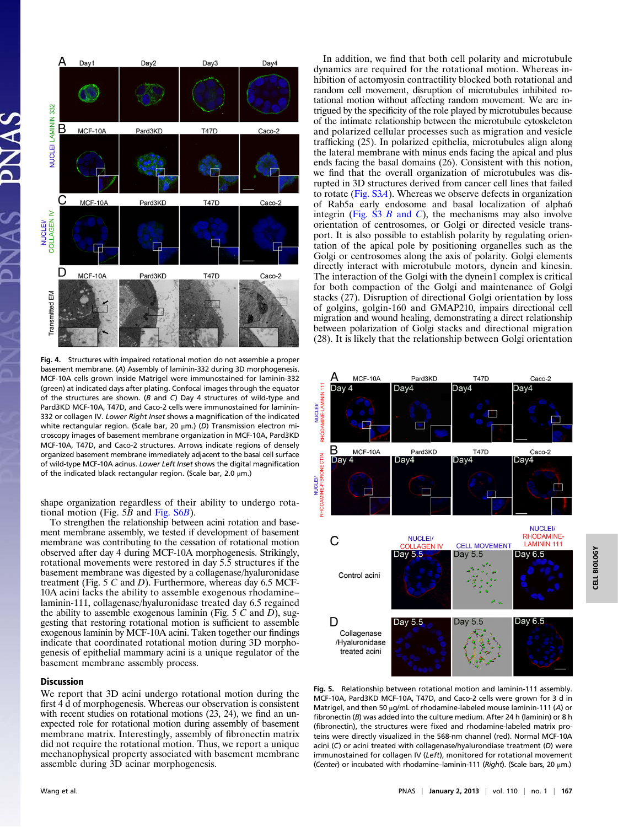

Fig. 4. Structures with impaired rotational motion do not assemble a proper basement membrane. (A) Assembly of laminin-332 during 3D morphogenesis. MCF-10A cells grown inside Matrigel were immunostained for laminin-332 (green) at indicated days after plating. Confocal images through the equator of the structures are shown. (B and C) Day 4 structures of wild-type and Pard3KD MCF-10A, T47D, and Caco-2 cells were immunostained for laminin-332 or collagen IV. Lower Right Inset shows a magnification of the indicated white rectangular region. (Scale bar, 20 μm.) (D) Transmission electron microscopy images of basement membrane organization in MCF-10A, Pard3KD MCF-10A, T47D, and Caco-2 structures. Arrows indicate regions of densely organized basement membrane immediately adjacent to the basal cell surface of wild-type MCF-10A acinus. Lower Left Inset shows the digital magnification of the indicated black rectangular region. (Scale bar, 2.0 μm.)

shape organization regardless of their ability to undergo rotational motion (Fig.  $5\overline{B}$  and Fig.  $S6B$ ).

To strengthen the relationship between acini rotation and basement membrane assembly, we tested if development of basement membrane was contributing to the cessation of rotational motion observed after day 4 during MCF-10A morphogenesis. Strikingly, rotational movements were restored in day 5.5 structures if the basement membrane was digested by a collagenase/hyaluronidase treatment (Fig. 5  $C$  and  $D$ ). Furthermore, whereas day 6.5 MCF-10A acini lacks the ability to assemble exogenous rhodamine– laminin-111, collagenase/hyaluronidase treated day 6.5 regained the ability to assemble exogenous laminin (Fig.  $5 \, C$  and  $D$ ), suggesting that restoring rotational motion is sufficient to assemble exogenous laminin by MCF-10A acini. Taken together our findings indicate that coordinated rotational motion during 3D morphogenesis of epithelial mammary acini is a unique regulator of the basement membrane assembly process.

## Discussion

We report that 3D acini undergo rotational motion during the first 4 d of morphogenesis. Whereas our observation is consistent with recent studies on rotational motions  $(23, 24)$ , we find an unexpected role for rotational motion during assembly of basement membrane matrix. Interestingly, assembly of fibronectin matrix did not require the rotational motion. Thus, we report a unique mechanophysical property associated with basement membrane assemble during 3D acinar morphogenesis.

In addition, we find that both cell polarity and microtubule dynamics are required for the rotational motion. Whereas inhibition of actomyosin contractility blocked both rotational and random cell movement, disruption of microtubules inhibited rotational motion without affecting random movement. We are intrigued by the specificity of the role played by microtubules because of the intimate relationship between the microtubule cytoskeleton and polarized cellular processes such as migration and vesicle trafficking (25). In polarized epithelia, microtubules align along the lateral membrane with minus ends facing the apical and plus ends facing the basal domains (26). Consistent with this notion, we find that the overall organization of microtubules was disrupted in 3D structures derived from cancer cell lines that failed to rotate [\(Fig. S3](http://www.pnas.org/lookup/suppl/doi:10.1073/pnas.1201141110/-/DCSupplemental/pnas.201201141SI.pdf?targetid=nameddest=SF3)A). Whereas we observe defects in organization of Rab5a early endosome and basal localization of alpha6 integrin ([Fig. S3](http://www.pnas.org/lookup/suppl/doi:10.1073/pnas.1201141110/-/DCSupplemental/pnas.201201141SI.pdf?targetid=nameddest=SF3)  $B$  and  $C$ ), the mechanisms may also involve orientation of centrosomes, or Golgi or directed vesicle transport. It is also possible to establish polarity by regulating orientation of the apical pole by positioning organelles such as the Golgi or centrosomes along the axis of polarity. Golgi elements directly interact with microtubule motors, dynein and kinesin. The interaction of the Golgi with the dynein1 complex is critical for both compaction of the Golgi and maintenance of Golgi stacks (27). Disruption of directional Golgi orientation by loss of golgins, golgin-160 and GMAP210, impairs directional cell migration and wound healing, demonstrating a direct relationship between polarization of Golgi stacks and directional migration (28). It is likely that the relationship between Golgi orientation



Fig. 5. Relationship between rotational motion and laminin-111 assembly. MCF-10A, Pard3KD MCF-10A, T47D, and Caco-2 cells were grown for 3 d in Matrigel, and then 50 μg/mL of rhodamine-labeled mouse laminin-111 (A) or fibronectin (B) was added into the culture medium. After 24 h (laminin) or 8 h (fibronectin), the structures were fixed and rhodamine-labeled matrix proteins were directly visualized in the 568-nm channel (red). Normal MCF-10A acini (C) or acini treated with collagenase/hyalurondiase treatment (D) were immunostained for collagen IV (Left), monitored for rotational movement (Center) or incubated with rhodamine–laminin-111 (Right). (Scale bars, 20  $\mu$ m.)